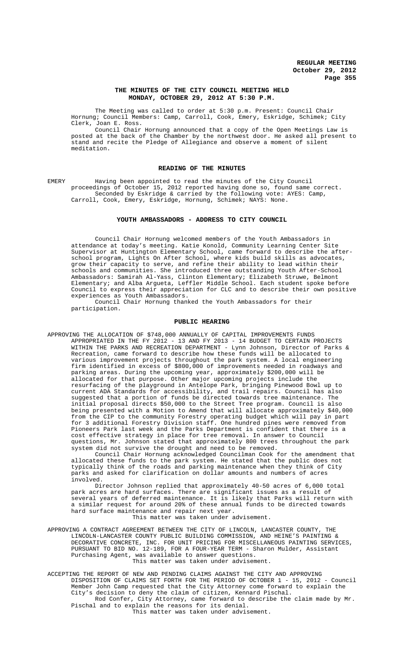## **THE MINUTES OF THE CITY COUNCIL MEETING HELD MONDAY, OCTOBER 29, 2012 AT 5:30 P.M.**

The Meeting was called to order at 5:30 p.m. Present: Council Chair Hornung; Council Members: Camp, Carroll, Cook, Emery, Eskridge, Schimek; City Clerk, Joan E. Ross.

Council Chair Hornung announced that a copy of the Open Meetings Law is posted at the back of the Chamber by the northwest door. He asked all present to stand and recite the Pledge of Allegiance and observe a moment of silent meditation.

## **READING OF THE MINUTES**

EMERY Having been appointed to read the minutes of the City Council proceedings of October 15, 2012 reported having done so, found same correct. Seconded by Eskridge & carried by the following vote: AYES: Camp, Carroll, Cook, Emery, Eskridge, Hornung, Schimek; NAYS: None.

### **YOUTH AMBASSADORS - ADDRESS TO CITY COUNCIL**

Council Chair Hornung welcomed members of the Youth Ambassadors in attendance at today's meeting. Katie Konold, Community Learning Center Site Supervisor at Huntington Elementary School, came forward to describe the afterschool program, Lights On After School, where kids build skills as advocates, grow their capacity to serve, and refine their ability to lead within their schools and communities. She introduced three outstanding Youth After-School Ambassadors: Samirah Al-Yass, Clinton Elementary; Elizabeth Struwe, Belmont Elementary; and Alba Argueta, Leffler Middle School. Each student spoke before Council to express their appreciation for CLC and to describe their own positive experiences as Youth Ambassadors.

Council Chair Hornung thanked the Youth Ambassadors for their participation.

### **PUBLIC HEARING**

APPROVING THE ALLOCATION OF \$748,000 ANNUALLY OF CAPITAL IMPROVEMENTS FUNDS APPROPRIATED IN THE FY 2012 - 13 AND FY 2013 - 14 BUDGET TO CERTAIN PROJECTS WITHIN THE PARKS AND RECREATION DEPARTMENT - Lynn Johnson, Director of Parks & Recreation, came forward to describe how these funds will be allocated to various improvement projects throughout the park system. A local engineering firm identified in excess of \$800,000 of improvements needed in roadways and parking areas. During the upcoming year, approximately \$200,000 will be allocated for that purpose. Other major upcoming projects include the resurfacing of the playground in Antelope Park, bringing Pinewood Bowl up to current ADA Standards for accessibility, and trail repairs. Council has also suggested that a portion of funds be directed towards tree maintenance. The initial proposal directs \$50,000 to the Street Tree program. Council is also being presented with a Motion to Amend that will allocate approximately \$40,000 from the CIP to the community Forestry operating budget which will pay in part for 3 additional Forestry Division staff. One hundred pines were removed from Pioneers Park last week and the Parks Department is confident that there is a cost effective strategy in place for tree removal. In answer to Council questions, Mr. Johnson stated that approximately 800 trees throughout the park system did not survive the drought and need to be removed.

Council Chair Hornung acknowledged Councilman Cook for the amendment that allocated these funds to the park system. He stated that the public does not typically think of the roads and parking maintenance when they think of City parks and asked for clarification on dollar amounts and numbers of acres involved.

Director Johnson replied that approximately 40-50 acres of 6,000 total park acres are hard surfaces. There are significant issues as a result of several years of deferred maintenance. It is likely that Parks will return with a similar request for around 20% of these annual funds to be directed towards hard surface maintenance and repair next year. This matter was taken under advisement.

APPROVING A CONTRACT AGREEMENT BETWEEN THE CITY OF LINCOLN, LANCASTER COUNTY, THE LINCOLN-LANCASTER COUNTY PUBLIC BUILDING COMMISSION, AND HEINE'S PAINTING & DECORATIVE CONCRETE, INC. FOR UNIT PRICING FOR MISCELLANEOUS PAINTING SERVICES, PURSUANT TO BID NO. 12-189, FOR A FOUR-YEAR TERM - Sharon Mulder, Assistant Purchasing Agent, was available to answer questions. This matter was taken under advisement.

ACCEPTING THE REPORT OF NEW AND PENDING CLAIMS AGAINST THE CITY AND APPROVING DISPOSITION OF CLAIMS SET FORTH FOR THE PERIOD OF OCTOBER 1 - 15, 2012 - Council Member John Camp requested that the City Attorney come forward to explain the City's decision to deny the claim of citizen, Kennard Pischal. Rod Confer, City Attorney, came forward to describe the claim made by Mr. Pischal and to explain the reasons for its denial.

<sub>-</sub><br>This matter was taken under advisement.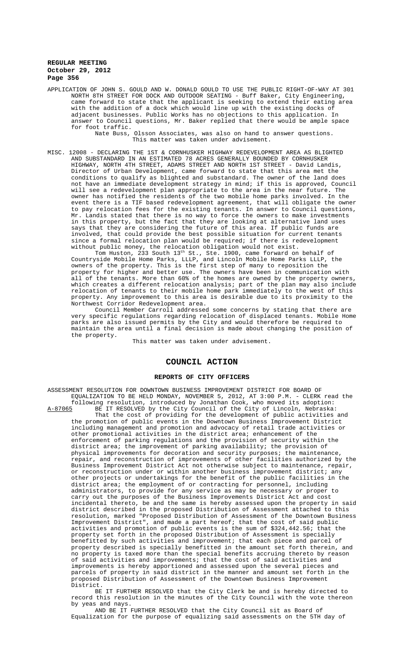APPLICATION OF JOHN S. GOULD AND W. DONALD GOULD TO USE THE PUBLIC RIGHT-OF-WAY AT 301 NORTH 8TH STREET FOR DOCK AND OUTDOOR SEATING - Buff Baker, City Engineering, came forward to state that the applicant is seeking to extend their eating area with the addition of a dock which would line up with the existing docks of adjacent businesses. Public Works has no objections to this application. In answer to Council questions, Mr. Baker replied that there would be ample space for foot traffic.

Nate Buss, Olsson Associates, was also on hand to answer questions. This matter was taken under advisement.

MISC. 12008 - DECLARING THE 1ST & CORNHUSKER HIGHWAY REDEVELOPMENT AREA AS BLIGHTED AND SUBSTANDARD IN AN ESTIMATED 78 ACRES GENERALLY BOUNDED BY CORNHUSKER HIGHWAY, NORTH 4TH STREET, ADAMS STREET AND NORTH 1ST STREET - David Landis, Director of Urban Development, came forward to state that this area met the conditions to qualify as blighted and substandard. The owner of the land does not have an immediate development strategy in mind; if this is approved, Council will see a redevelopment plan appropriate to the area in the near future. owner has notified the residents of the two mobile home parks involved. In the event there is a TIF based redevelopment agreement, that will obligate the owner to pay relocation fees for the existing tenants. In answer to Council questions, Mr. Landis stated that there is no way to force the owners to make investments in this property, but the fact that they are looking at alternative land uses says that they are considering the future of this area. If public funds are involved, that could provide the best possible situation for current tenants since a formal relocation plan would be required; if there is redevelopment without public money, the relocation obligation would not exist.

Tom Huston, 233 South  $13^{\text{th}}$  St., Ste. 1900, came forward on behalf of Countryside Mobile Home Parks, LLLP, and Lincoln Mobile Home Parks LLLP, the owners of the property. This is the first step of many to reposition the property for higher and better use. The owners have been in communication with all of the tenants. More than 60% of the homes are owned by the property owners, which creates a different relocation analysis; part of the plan may also include relocation of tenants to their mobile home park immediately to the west of this property. Any improvement to this area is desirable due to its proximity to the Northwest Corridor Redevelopment area.

Council Member Carroll addressed some concerns by stating that there are very specific regulations regarding relocation of displaced tenants. Mobile Home parks are also issued permits by the City and would therefore be required to maintain the area until a final decision is made about changing the position of the property.

This matter was taken under advisement.

## **COUNCIL ACTION**

#### **REPORTS OF CITY OFFICERS**

ASSESSMENT RESOLUTION FOR DOWNTOWN BUSINESS IMPROVEMENT DISTRICT FOR BOARD OF EQUALIZATION TO BE HELD MONDAY, NOVEMBER 5, 2012, AT 3:00 P.M. - CLERK read the following resolution, introduced by Jonathan Cook, who moved its adoption: A-87065 BE IT RESOLVED by the City Council of the City of Lincoln, Nebraska: That the cost of providing for the development of public activities and the promotion of public events in the Downtown Business Improvement District including management and promotion and advocacy of retail trade activities or other promotional activities in the district area; enhancement of the enforcement of parking regulations and the provision of security within the district area; the improvement of parking availability; the provision of physical improvements for decoration and security purposes; the maintenance, repair, and reconstruction of improvements of other facilities authorized by the Business Improvement District Act not otherwise subject to maintenance, repair, or reconstruction under or within another business improvement district; any other projects or undertakings for the benefit of the public facilities in the district area; the employment of or contracting for personnel, including administrators, to provide for any service as may be necessary or proper to carry out the purposes of the Business Improvements District Act and cost incidental thereto, be and the same is hereby assessed upon the property in said district described in the proposed Distribution of Assessment attached to this resolution, marked "Proposed Distribution of Assessment of the Downtown Business Improvement District", and made a part hereof; that the cost of said public activities and promotion of public events is the sum of \$324,442.56; that the property set forth in the proposed Distribution of Assessment is specially benefitted by such activities and improvement; that each piece and parcel of property described is specially benefitted in the amount set forth therein, and no property is taxed more than the special benefits accruing thereto by reason of said activities and improvements; that the cost of said activities and improvements is hereby apportioned and assessed upon the several pieces and parcels of property in said district in the manner and amount set forth in the proposed Distribution of Assessment of the Downtown Business Improvement District.

BE IT FURTHER RESOLVED that the City Clerk be and is hereby directed to record this resolution in the minutes of the City Council with the vote thereon by yeas and nays.

AND BE IT FURTHER RESOLVED that the City Council sit as Board of Equalization for the purpose of equalizing said assessments on the 5TH day of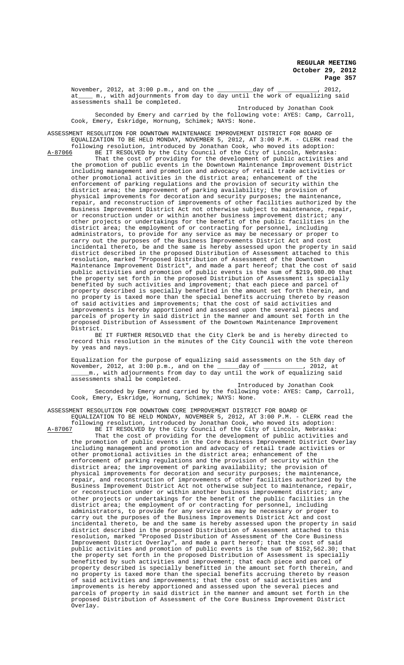November, 2012, at 3:00 p.m., and on the \_\_\_\_\_\_\_\_\_\_day of \_\_\_\_\_\_\_\_\_\_\_, 2012, at\_\_\_\_ m., with adjournments from day to day until the work of equalizing said assessments shall be completed.

Introduced by Jonathan Cook Seconded by Emery and carried by the following vote: AYES: Camp, Carroll, Cook, Emery, Eskridge, Hornung, Schimek; NAYS: None.

ASSESSMENT RESOLUTION FOR DOWNTOWN MAINTENANCE IMPROVEMENT DISTRICT FOR BOARD OF EQUALIZATION TO BE HELD MONDAY, NOVEMBER 5, 2012, AT 3:00 P.M. - CLERK read the following resolution, introduced by Jonathan Cook, who moved its adoption:

A-87066 BE IT RESOLVED by the City Council of the City of Lincoln, Nebraska: That the cost of providing for the development of public activities and the promotion of public events in the Downtown Maintenance Improvement District including management and promotion and advocacy of retail trade activities or other promotional activities in the district area; enhancement of the enforcement of parking regulations and the provision of security within the district area; the improvement of parking availability; the provision of physical improvements for decoration and security purposes; the maintenance, repair, and reconstruction of improvements of other facilities authorized by the Business Improvement District Act not otherwise subject to maintenance, repair, or reconstruction under or within another business improvement district; any other projects or undertakings for the benefit of the public facilities in the district area; the employment of or contracting for personnel, including administrators, to provide for any service as may be necessary or proper to carry out the purposes of the Business Improvements District Act and cost incidental thereto, be and the same is hereby assessed upon the property in said district described in the proposed Distribution of Assessment attached to this resolution, marked "Proposed Distribution of Assessment of the Downtown Maintenance Improvement District", and made a part hereof; that the cost public activities and promotion of public events is the sum of \$219,980.00 that the property set forth in the proposed Distribution of Assessment is specially benefited by such activities and improvement; that each piece and parcel of property described is specially benefited in the amount set forth therein, and no property is taxed more than the special benefits accruing thereto by reason<br>of said activities and improvements; that the cost of said activities and said activities and improvements; that the cost of said activities and improvements is hereby apportioned and assessed upon the several pieces and parcels of property in said district in the manner and amount set forth in the proposed Distribution of Assessment of the Downtown Maintenance Improvement District.

BE IT FURTHER RESOLVED that the City Clerk be and is hereby directed to record this resolution in the minutes of the City Council with the vote thereon by yeas and nays.

Equalization for the purpose of equalizing said assessments on the 5th day of November, 2012, at 3:00 p.m., and on the \_\_\_\_\_\_day of \_\_\_\_\_\_\_\_\_\_\_, 2012, at \_\_\_\_\_m., with adjournments from day to day until the work of equalizing said assessments shall be completed.

Introduced by Jonathan Cook Seconded by Emery and carried by the following vote: AYES: Camp, Carroll, Cook, Emery, Eskridge, Hornung, Schimek; NAYS: None.

ASSESSMENT RESOLUTION FOR DOWNTOWN CORE IMPROVEMENT DISTRICT FOR BOARD OF EQUALIZATION TO BE HELD MONDAY, NOVEMBER 5, 2012, AT 3:00 P.M. - CLERK read the following resolution, introduced by Jonathan Cook, who moved its adoption:<br>A-87067 BE IT RESOLVED by the City Council of the City of Lincoln, Nebraska BE IT RESOLVED by the City Council of the City of Lincoln, Nebraska:

That the cost of providing for the development of public activities and the promotion of public events in the Core Business Improvement District Overlay including management and promotion and advocacy of retail trade activities or other promotional activities in the district area; enhancement of the enforcement of parking regulations and the provision of security within the district area; the improvement of parking availability; the provision of physical improvements for decoration and security purposes; the maintenance, repair, and reconstruction of improvements of other facilities authorized by the Business Improvement District Act not otherwise subject to maintenance, repair, or reconstruction under or within another business improvement district; any other projects or undertakings for the benefit of the public facilities in the district area; the employment of or contracting for personnel, including administrators, to provide for any service as may be necessary or proper to carry out the purposes of the Business Improvements District Act and cost incidental thereto, be and the same is hereby assessed upon the property in said district described in the proposed Distribution of Assessment attached to this resolution, marked "Proposed Distribution of Assessment of the Core Business Improvement District Overlay", and made a part hereof; that the cost of said public activities and promotion of public events is the sum of \$152,562.30; that the property set forth in the proposed Distribution of Assessment is specially benefitted by such activities and improvement; that each piece and parcel of property described is specially benefitted in the amount set forth therein, and no property is taxed more than the special benefits accruing thereto by reason of said activities and improvements; that the cost of said activities and improvements is hereby apportioned and assessed upon the several pieces and parcels of property in said district in the manner and amount set forth in the proposed Distribution of Assessment of the Core Business Improvement District Overlay.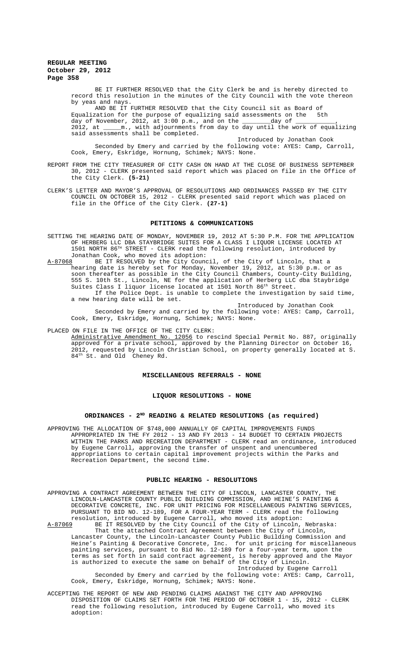BE IT FURTHER RESOLVED that the City Clerk be and is hereby directed to record this resolution in the minutes of the City Council with the vote thereon by yeas and nays.

AND BE IT FURTHER RESOLVED that the City Council sit as Board of<br>zation for the purpose of equalizing said assessments on the 5th Equalization for the purpose of equalizing said assessments on the day of November, 2012, at 3:00 p.m., and on the \_\_\_\_\_\_\_\_day of \_\_\_\_\_\_\_\_\_\_\_, 2012, at \_\_\_\_\_m., with adjournments from day to day until the work of equalizing said assessments shall be completed.

Introduced by Jonathan Cook Seconded by Emery and carried by the following vote: AYES: Camp, Carroll, Cook, Emery, Eskridge, Hornung, Schimek; NAYS: None.

- REPORT FROM THE CITY TREASURER OF CITY CASH ON HAND AT THE CLOSE OF BUSINESS SEPTEMBER 30, 2012 - CLERK presented said report which was placed on file in the Office of the City Clerk. **(5-21)**
- CLERK'S LETTER AND MAYOR'S APPROVAL OF RESOLUTIONS AND ORDINANCES PASSED BY THE CITY COUNCIL ON OCTOBER 15, 2012 - CLERK presented said report which was placed on file in the Office of the City Clerk. **(27-1)**

## **PETITIONS & COMMUNICATIONS**

SETTING THE HEARING DATE OF MONDAY, NOVEMBER 19, 2012 AT 5:30 P.M. FOR THE APPLICATION OF HERBERG LLC DBA STAYBRIDGE SUITES FOR A CLASS I LIQUOR LICENSE LOCATED AT 1501 NORTH 86TH STREET - CLERK read the following resolution, introduced by Jonathan Cook, who moved its adoption:<br>A-87068 BE IT RESOLVED by the City Counc

BE IT RESOLVED by the City Council, of the City of Lincoln, that a hearing date is hereby set for Monday, November 19, 2012, at 5:30 p.m. or as soon thereafter as possible in the City Council Chambers, County-City Building, 555 S. 10th St., Lincoln, NE for the application of Herberg LLC dba Staybridge Suites Class I liquor license located at 1501 North 86<sup>th</sup> Street. If the Police Dept. is unable to complete the investigation by said time, a new hearing date will be set.

Introduced by Jonathan Cook Seconded by Emery and carried by the following vote: AYES: Camp, Carroll, Cook, Emery, Eskridge, Hornung, Schimek; NAYS: None.

### PLACED ON FILE IN THE OFFICE OF THE CITY CLERK:

Administrative Amendment No. 12056 to rescind Special Permit No. 887, originally approved for a private school, approved by the Planning Director on October 16, 2012, requested by Lincoln Christian School, on property generally located at S. 84<sup>th</sup> St. and Old Cheney Rd.

## **MISCELLANEOUS REFERRALS - NONE**

#### **LIQUOR RESOLUTIONS - NONE**

# **ORDINANCES - 2ND READING & RELATED RESOLUTIONS (as required)**

APPROVING THE ALLOCATION OF \$748,000 ANNUALLY OF CAPITAL IMPROVEMENTS FUNDS APPROPRIATED IN THE FY 2012 - 13 AND FY 2013 - 14 BUDGET TO CERTAIN PROJECTS WITHIN THE PARKS AND RECREATION DEPARTMENT - CLERK read an ordinance, introduced by Eugene Carroll, approving the transfer of unspent and unencumbered appropriations to certain capital improvement projects within the Parks and Recreation Department, the second time.

### **PUBLIC HEARING - RESOLUTIONS**

APPROVING A CONTRACT AGREEMENT BETWEEN THE CITY OF LINCOLN, LANCASTER COUNTY, THE LINCOLN-LANCASTER COUNTY PUBLIC BUILDING COMMISSION, AND HEINE'S PAINTING & DECORATIVE CONCRETE, INC. FOR UNIT PRICING FOR MISCELLANEOUS PAINTING SERVICES, PURSUANT TO BID NO. 12-189, FOR A FOUR-YEAR TERM - CLERK read the following resolution, introduced by Eugene Carroll, who moved its adoption: resolution, introduced by Eugene Carroll, who moved its adoption: A-87069 BE IT RESOLVED by the City Council of the City of Lincoln, Nebraska:

That the attached Contract Agreement between the City of Lincoln, Lancaster County, the Lincoln-Lancaster County Public Building Commission and Heine's Painting & Decorative Concrete, Inc. for unit pricing for miscellaneous painting services, pursuant to Bid No. 12-189 for a four-year term, upon the terms as set forth in said contract agreement, is hereby approved and the Mayor is authorized to execute the same on behalf of the City of Lincoln.

Introduced by Eugene Carroll Seconded by Emery and carried by the following vote: AYES: Camp, Carroll, Cook, Emery, Eskridge, Hornung, Schimek; NAYS: None.

ACCEPTING THE REPORT OF NEW AND PENDING CLAIMS AGAINST THE CITY AND APPROVING DISPOSITION OF CLAIMS SET FORTH FOR THE PERIOD OF OCTOBER 1 - 15, 2012 - CLERK read the following resolution, introduced by Eugene Carroll, who moved its adoption: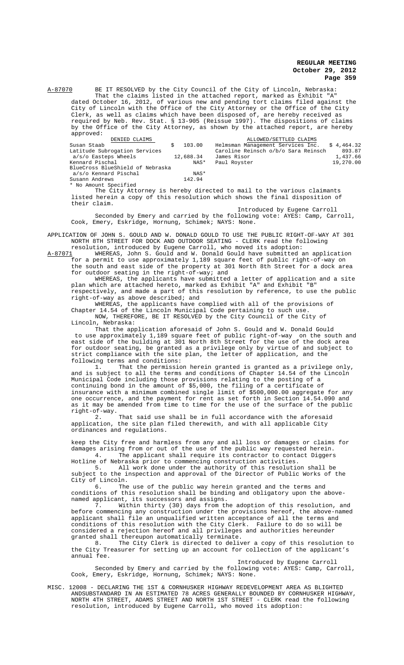A-87070 BE IT RESOLVED by the City Council of the City of Lincoln, Nebraska: That the claims listed in the attached report, marked as Exhibit "A" dated October 16, 2012, of various new and pending tort claims filed against the City of Lincoln with the Office of the City Attorney or the Office of the City Clerk, as well as claims which have been disposed of, are hereby received as required by Neb. Rev. Stat. § 13-905 (Reissue 1997). The dispositions of claims by the Office of the City Attorney, as shown by the attached report, are hereby approved:

| DENIED CLAIMS                    |           | ALLOWED/SETTLED CLAIMS                       |           |
|----------------------------------|-----------|----------------------------------------------|-----------|
| Susan Staab                      | 103.00    | Helmsman Management Services Inc. \$4,464.32 |           |
| Latitude Subrogation Services    |           | Caroline Reinsch o/b/o Sara Reinsch          | 893.87    |
| $a/s$ /o Easteps Wheels          | 12,688.34 | James Risor                                  | 1,437.66  |
| Kennard Pischal                  | NAS*      | Paul Royster                                 | 19,270.00 |
| BlueCross BlueShield of Nebraska |           |                                              |           |
| a/s/o Kennard Pischal            | NAS*      |                                              |           |
| Susann Andrews                   | 142.94    |                                              |           |
| * No Amount Specified            |           |                                              |           |

The City Attorney is hereby directed to mail to the various claimants listed herein a copy of this resolution which shows the final disposition of their claim.

Introduced by Eugene Carroll Seconded by Emery and carried by the following vote: AYES: Camp, Carroll, Cook, Emery, Eskridge, Hornung, Schimek; NAYS: None.

APPLICATION OF JOHN S. GOULD AND W. DONALD GOULD TO USE THE PUBLIC RIGHT-OF-WAY AT 301 NORTH 8TH STREET FOR DOCK AND OUTDOOR SEATING - CLERK read the following

resolution, introduced by Eugene Carroll, who moved its adoption:<br>A-87071 WHEREAS, John S. Gould and W. Donald Gould have submitted a A-87071 MHEREAS, John S. Gould and W. Donald Gould have submitted an application for a permit to use approximately 1,189 square feet of public right-of-way on the south and east side of the property at 301 North 8th Street for a dock area for outdoor seating in the right-of-way; and

WHEREAS, the applicants have submitted a letter of application and a site plan which are attached hereto, marked as Exhibit "A" and Exhibit "B" respectively, and made a part of this resolution by reference, to use the public right-of-way as above described; and

WHEREAS, the applicants have complied with all of the provisions of Chapter 14.54 of the Lincoln Municipal Code pertaining to such use. NOW, THEREFORE, BE IT RESOLVED by the City Council of the City of Lincoln, Nebraska:

That the application aforesaid of John S. Gould and W. Donald Gould to use approximately 1,189 square feet of public right-of-way on the south and east side of the building at 301 North 8th Street for the use of the dock area for outdoor seating, be granted as a privilege only by virtue of and subject to strict compliance with the site plan, the letter of application, and the following terms and conditions:

1. That the permission herein granted is granted as a privilege only, and is subject to all the terms and conditions of Chapter 14.54 of the Lincoln Municipal Code including those provisions relating to the posting of a continuing bond in the amount of \$5,000, the filing of a certificate of insurance with a minimum combined single limit of \$500,000.00 aggregate for any one occurrence, and the payment for rent as set forth in Section 14.54.090 and as it may be amended from time to time for the use of the surface of the public right-of-way.

2. That said use shall be in full accordance with the aforesaid application, the site plan filed therewith, and with all applicable City ordinances and regulations.

keep the City free and harmless from any and all loss or damages or claims for damages arising from or out of the use of the public way requested herein. 4. The applicant shall require its contractor to contact Diggers

Hotline of Nebraska prior to commencing construction activities. 5. All work done under the authority of this resolution shall be subject to the inspection and approval of the Director of Public Works of the City of Lincoln.

6. The use of the public way herein granted and the terms and conditions of this resolution shall be binding and obligatory upon the abovenamed applicant, its successors and assigns.

 $\overline{7}$ . Within thirty (30) days from the adoption of this resolution, and before commencing any construction under the provisions hereof, the above-named applicant shall file an unqualified written acceptance of all the terms and conditions of this resolution with the City Clerk. Failure to do so will be considered a rejection hereof and all privileges and authorities hereunder granted shall thereupon automatically terminate.<br>8. The City Clerk is directed to delive

The City Clerk is directed to deliver a copy of this resolution to the City Treasurer for setting up an account for collection of the applicant's annual fee.

Introduced by Eugene Carroll Seconded by Emery and carried by the following vote: AYES: Camp, Carroll, Cook, Emery, Eskridge, Hornung, Schimek; NAYS: None.

MISC. 12008 - DECLARING THE 1ST & CORNHUSKER HIGHWAY REDEVELOPMENT AREA AS BLIGHTED ANDSUBSTANDARD IN AN ESTIMATED 78 ACRES GENERALLY BOUNDED BY CORNHUSKER HIGHWAY, NORTH 4TH STREET, ADAMS STREET AND NORTH 1ST STREET - CLERK read the following resolution, introduced by Eugene Carroll, who moved its adoption: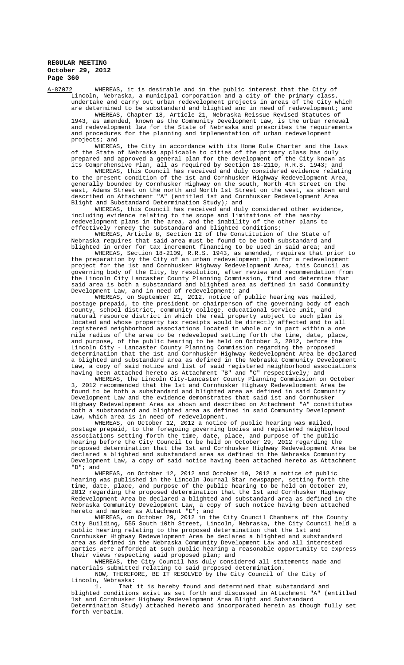A-87072 WHEREAS, it is desirable and in the public interest that the City of Lincoln, Nebraska, a municipal corporation and a city of the primary class, undertake and carry out urban redevelopment projects in areas of the City which are determined to be substandard and blighted and in need of redevelopment; and

WHEREAS, Chapter 18, Article 21, Nebraska Reissue Revised Statutes of 1943, as amended, known as the Community Development Law, is the urban renewal and redevelopment law for the State of Nebraska and prescribes the requirements and procedures for the planning and implementation of urban redevelopment projects; and

WHEREAS, the City in accordance with its Home Rule Charter and the laws of the State of Nebraska applicable to cities of the primary class has duly prepared and approved a general plan for the development of the City known as its Comprehensive Plan, all as required by Section 18-2110, R.R.S. 1943; and

WHEREAS, this Council has received and duly considered evidence relating to the present condition of the 1st and Cornhusker Highway Redevelopment Area, generally bounded by Cornhusker Highway on the south, North 4th Street on the east, Adams Street on the north and North 1st Street on the west, as shown and described on Attachment "A" (entitled 1st and Cornhusker Redevelopment Area Blight and Substandard Determination Study); and

WHEREAS, this Council has received and duly considered other evidence, including evidence relating to the scope and limitations of the nearby redevelopment plans in the area, and the inability of the other plans to effectively remedy the substandard and blighted conditions;

WHEREAS, Article 8, Section 12 of the Constitution of the State of Nebraska requires that said area must be found to be both substandard and blighted in order for tax increment financing to be used in said area; and

WHEREAS, Section 18-2109, R.R.S. 1943, as amended, requires that prior to the preparation by the City of an urban redevelopment plan for a redevelopment project for the 1st and Cornhusker Highway Redevelopment Area, this Council as governing body of the City, by resolution, after review and recommendation from the Lincoln City Lancaster County Planning Commission, find and determine that said area is both a substandard and blighted area as defined in said Community Development Law, and in need of redevelopment; and

WHEREAS, on September 21, 2012, notice of public hearing was mailed, postage prepaid, to the president or chairperson of the governing body of each county, school district, community college, educational service unit, and natural resource district in which the real property subject to such plan is located and whose property tax receipts would be directly affected and to all registered neighborhood associations located in whole or in part within a one mile radius of the area to be redeveloped setting forth the time, date, place, and purpose, of the public hearing to be held on October 3, 2012, before the Lincoln City - Lancaster County Planning Commission regarding the proposed determination that the 1st and Cornhusker Highway Redevelopment Area be declared a blighted and substandard area as defined in the Nebraska Community Development Law, a copy of said notice and list of said registered neighborhood associations having been attached hereto as Attachment "B" and "C" respectively; and

WHEREAS, the Lincoln City-Lancaster County Planning Commission on October 3, 2012 recommended that the 1st and Cornhusker Highway Redevelopment Area be found to be both a substandard and blighted area as defined in said Community Development Law and the evidence demonstrates that said 1st and Cornhusker Highway Redevelopment Area as shown and described on Attachment "A" constitutes both a substandard and blighted area as defined in said Community Development Law, which area is in need of redevelopment.

WHEREAS, on October 12, 2012 a notice of public hearing was mailed, postage prepaid, to the foregoing governing bodies and registered neighborhood associations setting forth the time, date, place, and purpose of the public hearing before the City Council to be held on October 29, 2012 regarding the proposed determination that the 1st and Cornhusker Highway Redevelopment Area be declared a blighted and substandard area as defined in the Nebraska Community Development Law, a copy of said notice having been attached hereto as Attachment "D"; and

WHEREAS, on October 12, 2012 and October 19, 2012 a notice of public hearing was published in the Lincoln Journal Star newspaper, setting forth the time, date, place, and purpose of the public hearing to be held on October 29, 2012 regarding the proposed determination that the 1st and Cornhusker Highway Redevelopment Area be declared a blighted and substandard area as defined in the Nebraska Community Development Law, a copy of such notice having been attached hereto and marked as Attachment "E"; and

WHEREAS, on October 29, 2012 in the City Council Chambers of the County City Building, 555 South 10th Street, Lincoln, Nebraska, the City Council held a public hearing relating to the proposed determination that the 1st and Cornhusker Highway Redevelopment Area be declared a blighted and substandard area as defined in the Nebraska Community Development Law and all interested parties were afforded at such public hearing a reasonable opportunity to express their views respecting said proposed plan; and

WHEREAS, the City Council has duly considered all statements made and materials submitted relating to said proposed determination. NOW, THEREFORE, BE IT RESOLVED by the City Council of the City of

Lincoln, Nebraska:<br>1. That That it is hereby found and determined that substandard and

blighted conditions exist as set forth and discussed in Attachment "A" (entitled 1st and Cornhusker Highway Redevelopment Area Blight and Substandard Determination Study) attached hereto and incorporated herein as though fully set forth verbatim.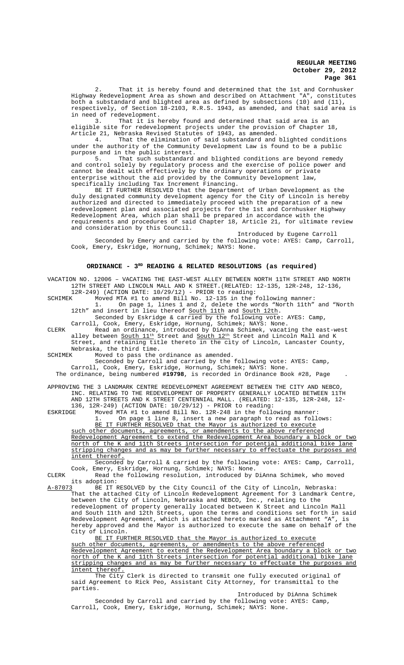2. That it is hereby found and determined that the 1st and Cornhusker Highway Redevelopment Area as shown and described on Attachment "A", constitutes both a substandard and blighted area as defined by subsections (10) and (11), respectively, of Section 18-2103, R.R.S. 1943, as amended, and that said area is in need of redevelopment.<br>3. That it is  $\mathbb{I}$ 

That it is hereby found and determined that said area is an eligible site for redevelopment projects under the provision of Chapter 18, Article 21, Nebraska Revised Statutes of 1943, as amended.

4. That the elimination of said substandard and blighted conditions under the authority of the Community Development Law is found to be a public purpose and in the public interest.<br>5. That such substandard

That such substandard and blighted conditions are beyond remedy and control solely by regulatory process and the exercise of police power and cannot be dealt with effectively by the ordinary operations or private enterprise without the aid provided by the Community Development law, specifically including Tax Increment Financing.

BE IT FURTHER RESOLVED that the Department of Urban Development as the duly designated community development agency for the City of Lincoln is hereby authorized and directed to immediately proceed with the preparation of a new redevelopment plan and associated projects for the 1st and Cornhusker Highway Redevelopment Area, which plan shall be prepared in accordance with the requirements and procedures of said Chapter 18, Article 21, for ultimate review and consideration by this Council.

Introduced by Eugene Carroll Seconded by Emery and carried by the following vote: AYES: Camp, Carroll, Cook, Emery, Eskridge, Hornung, Schimek; NAYS: None.

### **ORDINANCE - 3RD READING & RELATED RESOLUTIONS (as required)**

VACATION NO. 12006 – VACATING THE EAST-WEST ALLEY BETWEEN NORTH 11TH STREET AND NORTH 12TH STREET AND LINCOLN MALL AND K STREET.(RELATED: 12-135, 12R-248, 12-136,

12R-249) (ACTION DATE:  $10/29/12$ ) - PRIOR to reading:<br>SCHIMEK Moved MTA #1 to amend Bill No 12-135 in the f SCHIMEK Moved MTA #1 to amend Bill No. 12-135 in the following manner:

1. On page 1, lines 1 and 2, delete the words "North 11th" and "North 12th" and insert in lieu thereof South 11th and South 12th.

Seconded by Eskridge & carried by the following vote: AYES: Camp, Carroll, Cook, Emery, Eskridge, Hornung, Schimek; NAYS: None.

CLERK Read an ordinance, introduced by DiAnna Schimek, vacating the east-west alley between <u>South  $11^{\text{th}}$ </u> Street and <u>South  $12^{\text{th}}$ </u> Street and Lincoln Mall and K Street, and retaining title thereto in the city of Lincoln, Lancaster County, Nebraska, the third time.<br>SCHIMEK Moved to pass the

SCHIMEK Moved to pass the ordinance as amended.

Seconded by Carroll and carried by the following vote: AYES: Camp,

Carroll, Cook, Emery, Eskridge, Hornung, Schimek; NAYS: None.

The ordinance, being numbered **#19798**, is recorded in Ordinance Book #28, Page .

APPROVING THE 3 LANDMARK CENTRE REDEVELOPMENT AGREEMENT BETWEEN THE CITY AND NEBCO, INC. RELATING TO THE REDEVELOPMENT OF PROPERTY GENERALLY LOCATED BETWEEN 11TH AND 12TH STREETS AND K STREET CENTENNIAL MALL. (RELATED: 12-135, 12R-248, 12- 136, 12R-249) (ACTION DATE: 10/29/12) - PRIOR to reading:

ESKRIDGE Moved MTA #1 to amend Bill No. 12R-248 in the following manner:<br>1. On page 1 line 8, insert a new paragraph to read as following On page 1 line 8, insert a new paragraph to read as follows: BE IT FURTHER RESOLVED that the Mayor is authorized to execute

such other documents, agreements, or amendments to the above referenced

Redevelopment Agreement to extend the Redevelopment Area boundary a block or two north of the K and 11th Streets intersection for potential additional bike lane stripping changes and as may be further necessary to effectuate the purposes and intent thereof.

Seconded by Carroll & carried by the following vote: AYES: Camp, Carroll, Cook, Emery, Eskridge, Hornung, Schimek; NAYS: None.

CLERK Read the following resolution, introduced by DiAnna Schimek, who moved its adoption:<br>A-87073 BE IT I

BE IT RESOLVED by the City Council of the City of Lincoln, Nebraska: That the attached City of Lincoln Redevelopment Agreement for 3 Landmark Centre, between the City of Lincoln, Nebraska and NEBCO, Inc., relating to the redevelopment of property generally located between K Street and Lincoln Mall and South 11th and 12th Streets, upon the terms and conditions set forth in said Redevelopment Agreement, which is attached hereto marked as Attachment "A", is hereby approved and the Mayor is authorized to execute the same on behalf of the City of Lincoln.

BE IT FURTHER RESOLVED that the Mayor is authorized to execute such other documents, agreements, or amendments to the above referenced Redevelopment Agreement to extend the Redevelopment Area boundary a block or two north of the K and 11th Streets intersection for potential additional bike lane stripping changes and as may be further necessary to effectuate the purposes and intent thereof.

The City Clerk is directed to transmit one fully executed original of said Agreement to Rick Peo, Assistant City Attorney, for transmittal to the parties.

Introduced by DiAnna Schimek Seconded by Carroll and carried by the following vote: AYES: Camp, Carroll, Cook, Emery, Eskridge, Hornung, Schimek; NAYS: None.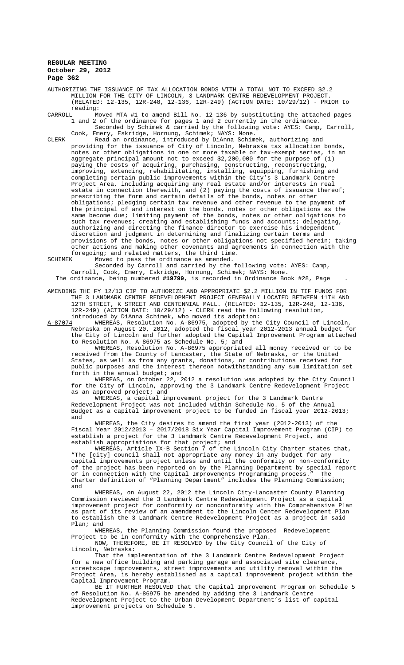AUTHORIZING THE ISSUANCE OF TAX ALLOCATION BONDS WITH A TOTAL NOT TO EXCEED \$2.2 MILLION FOR THE CITY OF LINCOLN, 3 LANDMARK CENTRE REDEVELOPMENT PROJECT. (RELATED: 12-135, 12R-248, 12-136, 12R-249) (ACTION DATE: 10/29/12) - PRIOR to reading:<br>CARROLL Mo

Moved MTA #1 to amend Bill No. 12-136 by substituting the attached pages 1 and 2 of the ordinance for pages 1 and 2 currently in the ordinance. Seconded by Schimek & carried by the following vote: AYES: Camp, Carroll, Cook, Emery, Eskridge, Hornung, Schimek; NAYS: None.

CLERK Read an ordinance, introduced by DiAnna Schimek, authorizing and providing for the issuance of City of Lincoln, Nebraska tax allocation bonds, notes or other obligations in one or more taxable or tax-exempt series, in an aggregate principal amount not to exceed \$2,200,000 for the purpose of (1) paying the costs of acquiring, purchasing, constructing, reconstructing, improving, extending, rehabilitating, installing, equipping, furnishing and completing certain public improvements within the City's 3 Landmark Centre Project Area, including acquiring any real estate and/or interests in real in connection therewith, and  $(2)$  paying the costs of issuance thereof; prescribing the form and certain details of the bonds, notes or other obligations; pledging certain tax revenue and other revenue to the payment of the principal of and interest on the bonds, notes or other obligations as the same become due; limiting payment of the bonds, notes or other obligations to such tax revenues; creating and establishing funds and accounts; delegating, authorizing and directing the finance director to exercise his independent discretion and judgment in determining and finalizing certain terms and provisions of the bonds, notes or other obligations not specified herein; taking other actions and making other covenants and agreements in connection with the foregoing; and related matters, the third time.<br>SCHIMEK Moved to pass the ordinance as amended.

Moved to pass the ordinance as amended.

Seconded by Carroll and carried by the following vote: AYES: Camp, Carroll, Cook, Emery, Eskridge, Hornung, Schimek; NAYS: None.

The ordinance, being numbered **#19799**, is recorded in Ordinance Book #28, Page .

AMENDING THE FY 12/13 CIP TO AUTHORIZE AND APPROPRIATE \$2.2 MILLION IN TIF FUNDS FOR THE 3 LANDMARK CENTRE REDEVELOPMENT PROJECT GENERALLY LOCATED BETWEEN 11TH AND 12TH STREET, K STREET AND CENTENNIAL MALL. (RELATED: 12-135, 12R-248, 12-136, 12R-249) (ACTION DATE: 10/29/12) - CLERK read the following resolution, introduced by DiAnna Schimek, who moved its adoption:

A-87074 MHEREAS, Resolution No. A-86975, adopted by the City Council of Lincoln, Nebraska on August 20, 2012, adopted the fiscal year 2012-2013 annual budget for the City of Lincoln and further adopted the Capital Improvement Program attached to Resolution No. A-86975 as Schedule No. 5; and

WHEREAS, Resolution No. A-86975 appropriated all money received or to be received from the County of Lancaster, the State of Nebraska, or the United States, as well as from any grants, donations, or contributions received for public purposes and the interest thereon notwithstanding any sum limitation set forth in the annual budget; and

WHEREAS, on October 22, 2012 a resolution was adopted by the City Council for the City of Lincoln, approving the 3 Landmark Centre Redevelopment Project as an approved project; and

WHEREAS, a capital improvement project for the 3 Landmark Centre Redevelopment Project was not included within Schedule No. 5 of the Annual Budget as a capital improvement project to be funded in fiscal year 2012-2013; and

WHEREAS, the City desires to amend the first year (2012-2013) of the Fiscal Year 2012/2013 – 2017/2018 Six Year Capital Improvement Program (CIP) to establish a project for the 3 Landmark Centre Redevelopment Project, and establish appropriations for that project; and

WHEREAS, Article IX-B Section 7 of the Lincoln City Charter states that, "The [city] council shall not appropriate any money in any budget for any capital improvements project unless and until the conformity or non-conformity of the project has been reported on by the Planning Department by special report or in connection with the Capital Improvements Programming process." The Charter definition of "Planning Department" includes the Planning Commission; and

WHEREAS, on August 22, 2012 the Lincoln City-Lancaster County Planning Commission reviewed the 3 Landmark Centre Redevelopment Project as a capital improvement project for conformity or nonconformity with the Comprehensive Plan as part of its review of an amendment to the Lincoln Center Redevelopment Plan to establish the 3 Landmark Centre Redevelopment Project as a project in said Plan; and

WHEREAS, the Planning Commission found the proposed Redevelopment Project to be in conformity with the Comprehensive Plan. NOW, THEREFORE, BE IT RESOLVED by the City Council of the City of

Lincoln, Nebraska: That the implementation of the 3 Landmark Centre Redevelopment Project for a new office building and parking garage and associated site clearance, streetscape improvements, street improvements and utility removal within the Project Area, is hereby established as a capital improvement project within the Capital Improvement Program.

BE IT FURTHER RESOLVED that the Capital Improvement Program on Schedule 5 of Resolution No. A-86975 be amended by adding the 3 Landmark Centre Redevelopment Project to the Urban Development Department's list of capital improvement projects on Schedule 5.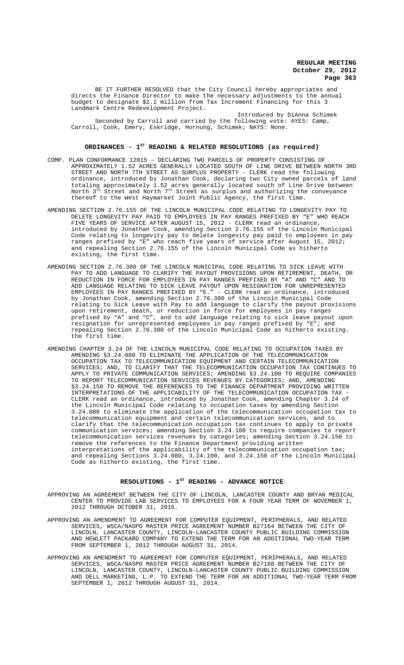BE IT FURTHER RESOLVED that the City Council hereby appropriates and directs the Finance Director to make the necessary adjustments to the annual budget to designate \$2.2 million from Tax Increment Financing for this 3 Landmark Centre Redevelopment Project.

Introduced by DiAnna Schimek Seconded by Carroll and carried by the following vote: AYES: Camp, Carroll, Cook, Emery, Eskridge, Hornung, Schimek; NAYS: None.

### **ORDINANCES - 1ST READING & RELATED RESOLUTIONS (as required)**

- COMP. PLAN CONFORMANCE 12015 DECLARING TWO PARCELS OF PROPERTY CONSISTING OF APPROXIMATELY 1.52 ACRES GENERALLY LOCATED SOUTH OF LINE DRIVE BETWEEN NORTH 3RD STREET AND NORTH 7TH STREET AS SURPLUS PROPERTY - CLERK read the following ordinance, introduced by Jonathan Cook, declaring two City owned parcels of land totaling approximately 1.52 acres generally located south of Line Drive between North  $3^{\text{rd}}$  Street and North  $7^{\text{th}}$  Street as surplus and authorizing the conveyance thereof to the West Haymarket Joint Public Agency, the first time.
- AMENDING SECTION 2.76.155 OF THE LINCOLN MUNICIPAL CODE RELATING TO LONGEVITY PAY TO DELETE LONGEVITY PAY PAID TO EMPLOYEES IN PAY RANGES PREFIXED BY "E" WHO REACH FIVE YEARS OF SERVICE AFTER AUGUST 15, 2012 - CLERK read an ordinance, introduced by Jonathan Cook, amending Section 2.76.155 of the Lincoln Municipal Code relating to longevity pay to delete longevity pay paid to employees in pay ranges prefixed by "E" who reach five years of service after August 15, 2012; and repealing Section 2.76.155 of the Lincoln Municipal Code as hitherto existing, the first time.
- AMENDING SECTION 2.76.380 OF THE LINCOLN MUNICIPAL CODE RELATING TO SICK LEAVE WITH PAY TO ADD LANGUAGE TO CLARIFY THE PAYOUT PROVISIONS UPON RETIREMENT, DEATH, OR REDUCTION IN FORCE FOR EMPLOYEES IN PAY RANGES PREFIXED BY "A" AND "C" AND TO ADD LANGUAGE RELATING TO SICK LEAVE PAYOUT UPON RESIGNATION FOR UNREPRESENTED EMPLOYEES IN PAY RANGES PREFIXED BY "E." - CLERK read an ordinance, introduced by Jonathan Cook, amending Section 2.76.380 of the Lincoln Municipal Code relating to Sick Leave with Pay to add language to clarify the payout provisions upon retirement, death, or reduction in force for employees in pay ranges prefixed by "A" and "C", and to add language relating to sick leave payout upon resignation for unrepresented employees in pay ranges prefixed by "E"; and repealing Section 2.76.380 of the Lincoln Municipal Code as hitherto existing. the first time.
- AMENDING CHAPTER 3.24 OF THE LINCOLN MUNICIPAL CODE RELATING TO OCCUPATION TAXES BY AMENDING §3.24.080 TO ELIMINATE THE APPLICATION OF THE TELECOMMUNICATION OCCUPATION TAX TO TELECOMMUNICATION EQUIPMENT AND CERTAIN TELECOMMUNICATION SERVICES; AND, TO CLARIFY THAT THE TELECOMMUNICATION OCCUPATION TAX CONTINUES TO APPLY TO PRIVATE COMMUNICATION SERVICES; AMENDING §3.24.100 TO REQUIRE COMPANIES TO REPORT TELECOMMUNICATION SERVICES REVENUES BY CATEGORIES; AND, AMENDING §3.24.150 TO REMOVE THE REFERENCES TO THE FINANCE DEPARTMENT PROVIDING WRITTEN INTERPRETATIONS OF THE APPLICABILITY OF THE TELECOMMUNICATION OCCUPATION TAX - CLERK read an ordinance, introduced by Jonathan Cook, amending Chapter 3.24 of the Lincoln Municipal Code relating to occupation taxes by amending Section 3.24.080 to eliminate the application of the telecommunication occupation tax to telecommunication equipment and certain telecommunication services, and to clarify that the telecommunication occupation tax continues to apply to private communication services; amending Section 3.24.100 to require companies to report telecommunication services revenues by categories; amending Section 3.24.150 to remove the references to the Finance Department providing written interpretations of the applicability of the telecommunication occupation tax; and repealing Sections 3.24.080, 3,24.100, and 3.24.150 of the Lincoln Municipal Code as hitherto existing, the first time.

## RESOLUTIONS - 1<sup>st</sup> READING - ADVANCE NOTICE

- APPROVING AN AGREEMENT BETWEEN THE CITY OF LINCOLN, LANCASTER COUNTY AND BRYAN MEDICAL CENTER TO PROVIDE LAB SERVICES TO EMPLOYEES FOR A FOUR YEAR TERM OF NOVEMBER 1, 2012 THROUGH OCTOBER 31, 2016.
- APPROVING AN AMENDMENT TO AGREEMENT FOR COMPUTER EQUIPMENT, PERIPHERALS, AND RELATED SERVICES, WSCA/NASPO MASTER PRICE AGREEMENT NUMBER B27164 BETWEEN THE CITY OF LINCOLN, LANCASTER COUNTY, LINCOLN-LANCASTER COUNTY PUBLIC BUILDING COMMISSION AND HEWLETT PACKARD COMPANY TO EXTEND THE TERM FOR AN ADDITIONAL TWO-YEAR TERM FROM SEPTEMBER 1, 2012 THROUGH AUGUST 31, 2014.
- APPROVING AN AMENDMENT TO AGREEMENT FOR COMPUTER EQUIPMENT, PERIPHERALS, AND RELATED SERVICES, WSCA/NASPO MASTER PRICE AGREEMENT NUMBER B27160 BETWEEN THE CITY OF LINCOLN, LANCASTER COUNTY, LINCOLN-LANCASTER COUNTY PUBLIC BUILDING COMMISSION AND DELL MARKETING, L.P. TO EXTEND THE TERM FOR AN ADDITIONAL TWO-YEAR TERM FROM SEPTEMBER 1, 2012 THROUGH AUGUST 31, 2014.